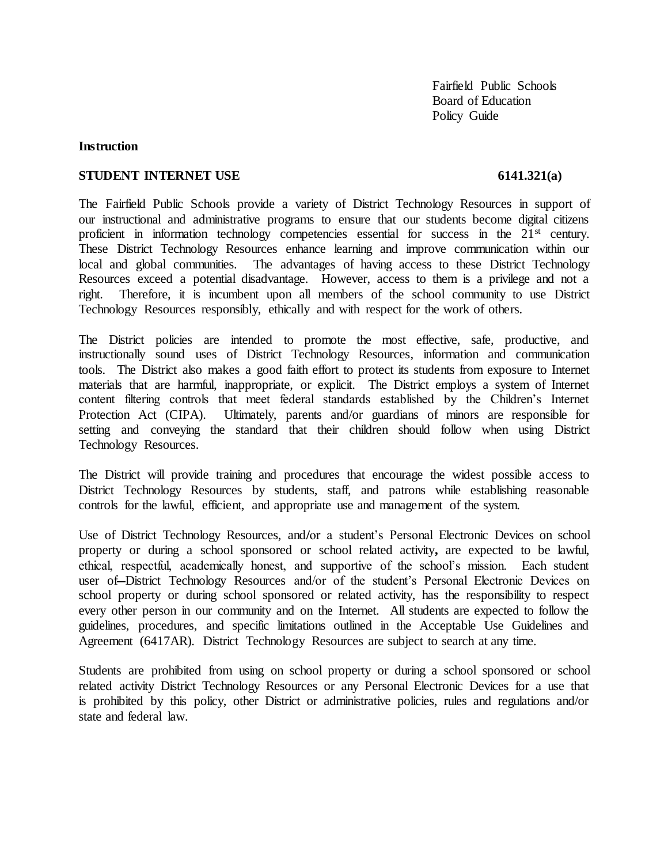Fairfield Public Schools Board of Education Policy Guide

### **Instruction**

### **STUDENT INTERNET USE** 6141.321(a)

The Fairfield Public Schools provide a variety of District Technology Resources in support of our instructional and administrative programs to ensure that our students become digital citizens proficient in information technology competencies essential for success in the 21<sup>st</sup> century. These District Technology Resources enhance learning and improve communication within our local and global communities. The advantages of having access to these District Technology Resources exceed a potential disadvantage. However, access to them is a privilege and not a right. Therefore, it is incumbent upon all members of the school community to use District Technology Resources responsibly, ethically and with respect for the work of others.

The District policies are intended to promote the most effective, safe, productive, and instructionally sound uses of District Technology Resources, information and communication tools. The District also makes a good faith effort to protect its students from exposure to Internet materials that are harmful, inappropriate, or explicit. The District employs a system of Internet content filtering controls that meet federal standards established by the Children's Internet Protection Act (CIPA). Ultimately, parents and/or guardians of minors are responsible for setting and conveying the standard that their children should follow when using District Technology Resources.

The District will provide training and procedures that encourage the widest possible access to District Technology Resources by students, staff, and patrons while establishing reasonable controls for the lawful, efficient, and appropriate use and management of the system.

Use of District Technology Resources, and**/**or a student's Personal Electronic Devices on school property or during a school sponsored or school related activity**,** are expected to be lawful, ethical, respectful, academically honest, and supportive of the school's mission. Each student user of-District Technology Resources and/or of the student's Personal Electronic Devices on school property or during school sponsored or related activity, has the responsibility to respect every other person in our community and on the Internet. All students are expected to follow the guidelines, procedures, and specific limitations outlined in the Acceptable Use Guidelines and Agreement (6417AR). District Technology Resources are subject to search at any time.

Students are prohibited from using on school property or during a school sponsored or school related activity District Technology Resources or any Personal Electronic Devices for a use that is prohibited by this policy, other District or administrative policies, rules and regulations and/or state and federal law.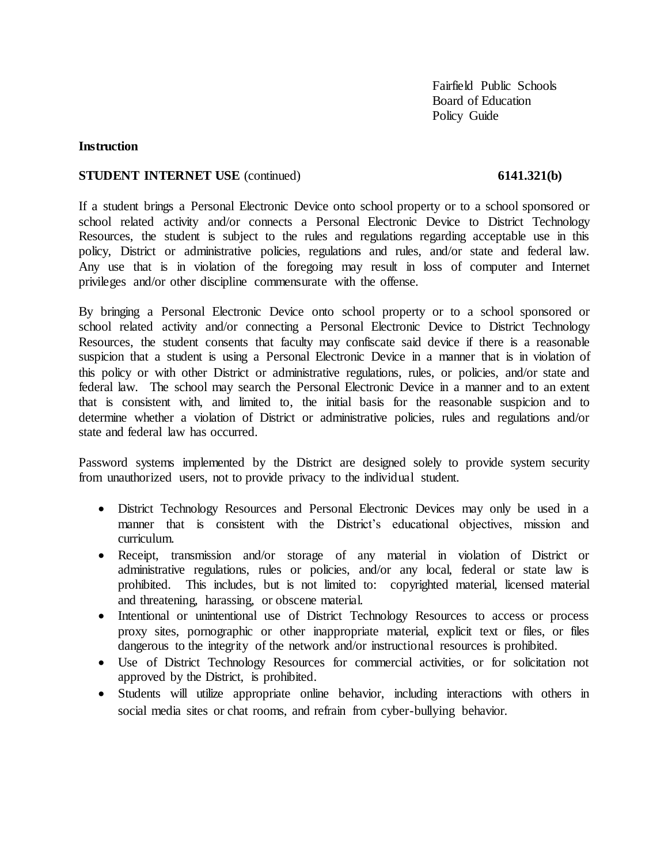Fairfield Public Schools Board of Education Policy Guide

# **Instruction**

### **STUDENT INTERNET USE** (continued) **6141.321(b)**

If a student brings a Personal Electronic Device onto school property or to a school sponsored or school related activity and/or connects a Personal Electronic Device to District Technology Resources, the student is subject to the rules and regulations regarding acceptable use in this policy, District or administrative policies, regulations and rules, and/or state and federal law. Any use that is in violation of the foregoing may result in loss of computer and Internet privileges and/or other discipline commensurate with the offense.

By bringing a Personal Electronic Device onto school property or to a school sponsored or school related activity and/or connecting a Personal Electronic Device to District Technology Resources, the student consents that faculty may confiscate said device if there is a reasonable suspicion that a student is using a Personal Electronic Device in a manner that is in violation of this policy or with other District or administrative regulations, rules, or policies, and/or state and federal law. The school may search the Personal Electronic Device in a manner and to an extent that is consistent with, and limited to, the initial basis for the reasonable suspicion and to determine whether a violation of District or administrative policies, rules and regulations and/or state and federal law has occurred.

Password systems implemented by the District are designed solely to provide system security from unauthorized users, not to provide privacy to the individual student.

- District Technology Resources and Personal Electronic Devices may only be used in a manner that is consistent with the District's educational objectives, mission and curriculum.
- Receipt, transmission and/or storage of any material in violation of District or administrative regulations, rules or policies, and/or any local, federal or state law is prohibited. This includes, but is not limited to: copyrighted material, licensed material and threatening, harassing, or obscene material.
- Intentional or unintentional use of District Technology Resources to access or process proxy sites, pornographic or other inappropriate material, explicit text or files, or files dangerous to the integrity of the network and/or instructional resources is prohibited.
- Use of District Technology Resources for commercial activities, or for solicitation not approved by the District, is prohibited.
- Students will utilize appropriate online behavior, including interactions with others in social media sites or chat rooms, and refrain from cyber-bullying behavior.